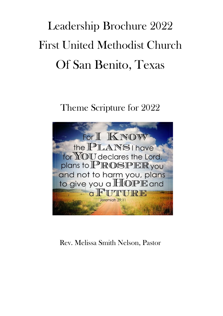# Leadership Brochure 2022 First United Methodist Church Of San Benito, Texas

Theme Scripture for 2022



Rev. Melissa Smith Nelson, Pastor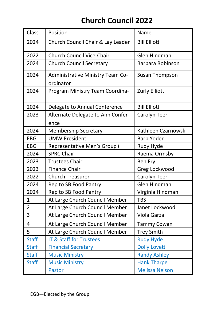# **Church Council 2022**

| Class          | Position                                      | Name                  |
|----------------|-----------------------------------------------|-----------------------|
| 2024           | Church Council Chair & Lay Leader             | <b>Bill Elliott</b>   |
| 2022           | Church Council Vice-Chair                     | Glen Hindman          |
| 2024           | <b>Church Council Secretary</b>               | Barbara Robinson      |
| 2024           | Administrative Ministry Team Co-<br>ordinator | Susan Thompson        |
| 2024           | Program Ministry Team Coordina-               | Zurly Elliott         |
| 2024           | Delegate to Annual Conference                 | <b>Bill Elliott</b>   |
| 2023           | Alternate Delegate to Ann Confer-<br>ence     | Carolyn Teer          |
| 2024           | <b>Membership Secretary</b>                   | Kathleen Czarnowski   |
| EBG            | <b>UMW President</b>                          | <b>Barb Yoder</b>     |
| EBG            | Representative Men's Group (                  | Rudy Hyde             |
| 2024           | <b>SPRC Chair</b>                             | Raema Ormsby          |
| 2023           | <b>Trustees Chair</b>                         | <b>Ben Fry</b>        |
| 2023           | <b>Finance Chair</b>                          | Greg Lockwood         |
| 2022           | <b>Church Treasurer</b>                       | Carolyn Teer          |
| 2024           | Rep to SB Food Pantry                         | Glen Hindman          |
| 2024           | Rep to SB Food Pantry                         | Virginia Hindman      |
| $\mathbf{1}$   | At Large Church Council Member                | <b>TBS</b>            |
| $\overline{2}$ | At Large Church Council Member                | Janet Lockwood        |
| 3              | At Large Church Council Member                | Viola Garza           |
| 4              | At Large Church Council Member                | <b>Tammy Cowan</b>    |
| 5              | At Large Church Council Member                | <b>Trey Smith</b>     |
| <b>Staff</b>   | <b>IT &amp; Staff for Trustees</b>            | <b>Rudy Hyde</b>      |
| <b>Staff</b>   | <b>Financial Secretary</b>                    | <b>Dolly Lovett</b>   |
| <b>Staff</b>   | <b>Music Ministry</b>                         | <b>Randy Ashley</b>   |
| <b>Staff</b>   | <b>Music Ministry</b>                         | <b>Hank Tharpe</b>    |
|                | <b>Pastor</b>                                 | <b>Melissa Nelson</b> |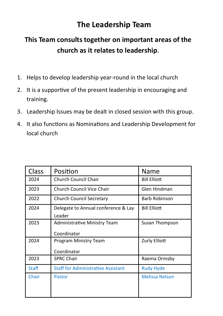## **The Leadership Team**

## **This Team consults together on important areas of the church as it relates to leadership**.

- 1. Helps to develop leadership year-round in the local church
- 2. It is a supportive of the present leadership in encouraging and training.
- 3. Leadership Issues may be dealt in closed session with this group.
- 4. It also functions as Nominations and Leadership Development for local church

| Class        | Position                                      | Name                  |
|--------------|-----------------------------------------------|-----------------------|
| 2024         | <b>Church Council Chair</b>                   | <b>Bill Elliott</b>   |
| 2023         | Church Council Vice Chair                     | Glen Hindman          |
| 2022         | Church Council Secretary                      | <b>Barb Robinson</b>  |
| 2024         | Delegate to Annual conference & Lay<br>Leader | <b>Bill Elliott</b>   |
| 2023         | Administrative Ministry Team<br>Coordinator   | Susan Thompson        |
| 2024         | Program Ministry Team<br>Coordinator          | Zurly Elliott         |
| 2023         | <b>SPRC Chair</b>                             | Raema Ormsby          |
| <b>Staff</b> | <b>Staff for Administrative Assistant</b>     | <b>Rudy Hyde</b>      |
| Chair        | Pastor                                        | <b>Melissa Nelson</b> |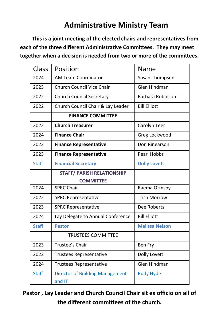## **Administrative Ministry Team**

**This is a joint meeting of the elected chairs and representatives from each of the three different Administrative Committees. They may meet together when a decision is needed from two or more of the committees.**

| Class        | Position                                         | Name                  |
|--------------|--------------------------------------------------|-----------------------|
| 2024         | <b>AM Team Coordinator</b>                       | Susan Thompson        |
| 2023         | <b>Church Council Vice Chair</b>                 | <b>Glen Hindman</b>   |
| 2022         | <b>Church Council Secretary</b>                  | Barbara Robinson      |
| 2022         | Church Council Chair & Lay Leader                | <b>Bill Elliott</b>   |
|              | <b>FINANCE COMMITTEE</b>                         |                       |
| 2022         | <b>Church Treasurer</b>                          | Carolyn Teer          |
| 2024         | <b>Finance Chair</b>                             | Greg Lockwood         |
| 2022         | <b>Finance Representative</b>                    | Don Rinearson         |
| 2023         | <b>Finance Representative</b>                    | <b>Pearl Hobbs</b>    |
| <b>Staff</b> | <b>Financial Secretary</b>                       | <b>Dolly Lovett</b>   |
|              | <b>STAFF/ PARISH RELATIONSHIP</b>                |                       |
|              | <b>COMMITTEE</b>                                 |                       |
| 2024         | <b>SPRC Chair</b>                                | Raema Ormsby          |
| 2022         | <b>SPRC Representative</b>                       | <b>Trish Morrow</b>   |
| 2023         | <b>SPRC Representative</b>                       | Dee Roberts           |
| 2024         | Lay Delegate to Annual Conference                | <b>Bill Elliott</b>   |
| <b>Staff</b> | <b>Pastor</b>                                    | <b>Melissa Nelson</b> |
|              | <b>TRUSTEES COMMITTEE</b>                        |                       |
| 2023         | Trustee's Chair                                  | Ben Fry               |
| 2022         | Trustees Representative                          | Dolly Lovett          |
| 2024         | Trustees Representative                          | Glen Hindman          |
| <b>Staff</b> | <b>Director of Building Management</b><br>and IT | <b>Rudy Hyde</b>      |

**Pastor , Lay Leader and Church Council Chair sit ex officio on all of the different committees of the church.**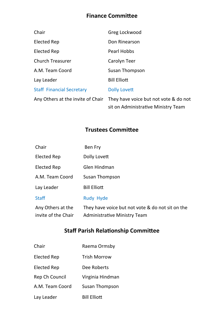#### **Finance Committee**

| Chair                             | Greg Lockwood                                                                |
|-----------------------------------|------------------------------------------------------------------------------|
| Elected Rep                       | Don Rinearson                                                                |
| Elected Rep                       | Pearl Hobbs                                                                  |
| Church Treasurer                  | Carolyn Teer                                                                 |
| A.M. Team Coord                   | Susan Thompson                                                               |
| Lay Leader                        | <b>Bill Elliott</b>                                                          |
| <b>Staff Financial Secretary</b>  | Dolly Lovett                                                                 |
| Any Others at the invite of Chair | They have voice but not vote & do not<br>sit on Administrative Ministry Team |

#### **Trustees Committee**

| Chair                                    | Ben Fry                                                                          |
|------------------------------------------|----------------------------------------------------------------------------------|
| Elected Rep                              | Dolly Lovett                                                                     |
| Elected Rep                              | Glen Hindman                                                                     |
| A.M. Team Coord                          | Susan Thompson                                                                   |
| Lay Leader                               | <b>Bill Elliott</b>                                                              |
| <b>Staff</b>                             | Rudy Hyde                                                                        |
| Any Others at the<br>invite of the Chair | They have voice but not vote & do not sit on the<br>Administrative Ministry Team |

### **Staff Parish Relationship Committee**

Chair Raema Ormsby Elected Rep Trish Morrow Elected Rep Dee Roberts Rep Ch Council Virginia Hindman A.M. Team Coord Susan Thompson Lay Leader Bill Elliott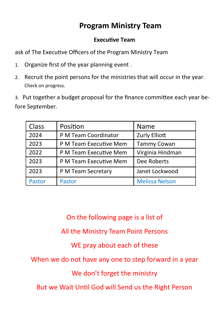## **Program Ministry Team**

#### **Executive Team**

ask of The Executive Officers of the Program Ministry Team

- 1. Organize first of the year planning event .
- 2. Recruit the point persons for the ministries that will occur in the year. Check on progress.

3. Put together a budget proposal for the finance committee each year before September.

| <b>Class</b> | Position               | Name                  |
|--------------|------------------------|-----------------------|
| 2024         | P M Team Coordinator   | Zurly Elliott         |
| 2023         | P M Team Executive Mem | <b>Tammy Cowan</b>    |
| 2022         | P M Team Executive Mem | Virginia Hindman      |
| 2023         | P M Team Executive Mem | Dee Roberts           |
| 2023         | P M Team Secretary     | Janet Lockwood        |
| Pastor       | <b>Pastor</b>          | <b>Melissa Nelson</b> |

On the following page is a list of

All the Ministry Team Point Persons

WE pray about each of these

When we do not have any one to step forward in a year

We don't forget the ministry

But we Wait Until God will Send us the Right Person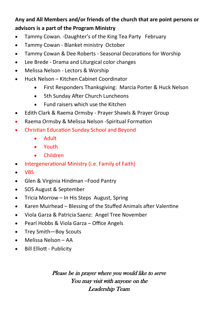## **Any and All Members and/or friends of the church that are point persons or advisors is a part of the Program Ministry**

- Tammy Cowan. -Daughter's of the King Tea Party February
- Tammy Cowan Blanket ministry October
- Tammy Cowan & Dee Roberts Seasonal Decorations for Worship
- Lee Brede Drama and Liturgical color changes
- Melissa Nelson Lectors & Worship
- Huck Nelson Kitchen Cabinet Coordinator
	- First Responders Thanksgiving: Marcia Porter & Huck Nelson
	- 5th Sunday After Church Luncheons
	- Fund raisers which use the Kitchen
- Edith Clark & Raema Ormsby Prayer Shawls & Prayer Group
- Raema Ormsby & Melissa Nelson -Spiritual Formation
- Christian Education Sunday School and Beyond
	- Adult
	- Youth
	- Children
- Intergenerational Ministry (i.e. Family of Faith)
- VBS
- Glen & Virginia Hindman –Food Pantry
- SOS August & September
- Tricia Morrow In His Steps August, Spring
- Karen Muirhead Blessing of the Stuffed Animals after Valentine
- Viola Garza & Patricia Saenz: Angel Tree November
- Pearl Hobbs & Viola Garza Office Angels
- Trey Smith-Boy Scouts
- Melissa Nelson AA
- Bill Elliott Publicity

Please be in prayer where you would like to serve You may visit with anyone on the Leadership Team